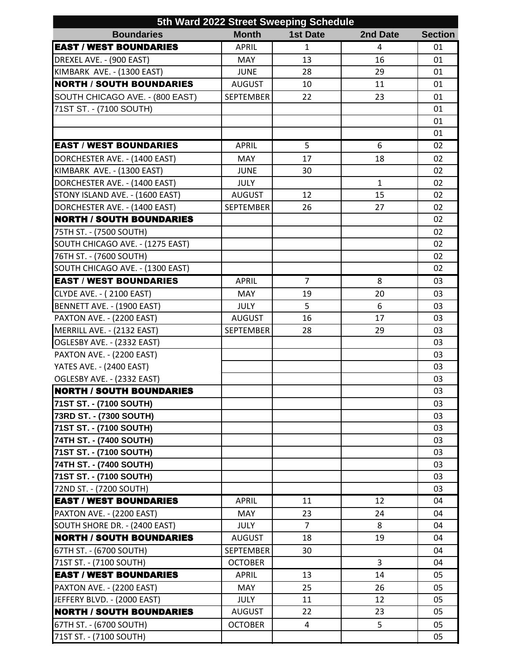| <b>Boundaries</b><br><b>Month</b><br><b>1st Date</b><br>2nd Date<br><b>Section</b><br><b>EAST / WEST BOUNDARIES</b><br><b>APRIL</b><br>$\mathbf{1}$<br>01<br>4<br>DREXEL AVE. - (900 EAST)<br>13<br>16<br><b>MAY</b><br>01<br>KIMBARK AVE. - (1300 EAST)<br>28<br><b>JUNE</b><br>29<br>01<br><b>NORTH / SOUTH BOUNDARIES</b><br><b>AUGUST</b><br>11<br>10<br>01<br>SOUTH CHICAGO AVE. - (800 EAST)<br><b>SEPTEMBER</b><br>22<br>23<br>01<br>71ST ST. - (7100 SOUTH)<br>01<br>01<br>01<br><b>EAST / WEST BOUNDARIES</b><br><b>APRIL</b><br>5<br>02<br>6<br>17<br>DORCHESTER AVE. - (1400 EAST)<br><b>MAY</b><br>18<br>02<br>KIMBARK AVE. - (1300 EAST)<br><b>JUNE</b><br>30<br>02<br>DORCHESTER AVE. - (1400 EAST)<br><b>JULY</b><br>1<br>02<br>STONY ISLAND AVE. - (1600 EAST)<br>12<br>15<br><b>AUGUST</b><br>02<br><b>SEPTEMBER</b><br>DORCHESTER AVE. - (1400 EAST)<br>26<br>27<br>02<br><b>NORTH / SOUTH BOUNDARIES</b><br>02<br>75TH ST. - (7500 SOUTH)<br>02<br>SOUTH CHICAGO AVE. - (1275 EAST)<br>02<br>76TH ST. - (7600 SOUTH)<br>02<br>SOUTH CHICAGO AVE. - (1300 EAST)<br>02<br>$\overline{7}$<br><b>EAST / WEST BOUNDARIES</b><br><b>APRIL</b><br>8<br>03<br><b>CLYDE AVE. - (2100 EAST)</b><br>MAY<br>19<br>20<br>03<br>BENNETT AVE. - (1900 EAST)<br>5<br>6<br><b>JULY</b><br>03<br>PAXTON AVE. - (2200 EAST)<br><b>AUGUST</b><br>16<br>17<br>03<br>MERRILL AVE. - (2132 EAST)<br><b>SEPTEMBER</b><br>28<br>29<br>03<br>OGLESBY AVE. - (2332 EAST)<br>03<br>PAXTON AVE. - (2200 EAST)<br>03<br>YATES AVE. - (2400 EAST)<br>03<br>OGLESBY AVE. - (2332 EAST)<br>03<br><b>NORTH / SOUTH BOUNDARIES</b><br>03<br>71ST ST. - (7100 SOUTH)<br>03<br>73RD ST. - (7300 SOUTH)<br>03<br>71ST ST. - (7100 SOUTH)<br>03<br>74TH ST. - (7400 SOUTH)<br>03<br>71ST ST. - (7100 SOUTH)<br>03<br>74TH ST. - (7400 SOUTH)<br>03<br>71ST ST. - (7100 SOUTH)<br>03<br>72ND ST. - (7200 SOUTH)<br>03<br><b>EAST / WEST BOUNDARIES</b><br><b>APRIL</b><br>11<br>12<br>04<br>PAXTON AVE. - (2200 EAST)<br>MAY<br>23<br>24<br>04<br>SOUTH SHORE DR. - (2400 EAST)<br>$\overline{7}$<br><b>JULY</b><br>8<br>04<br><b>NORTH / SOUTH BOUNDARIES</b><br><b>AUGUST</b><br>18<br>19<br>04<br>67TH ST. - (6700 SOUTH)<br><b>SEPTEMBER</b><br>30<br>04<br><b>OCTOBER</b><br>3<br>71ST ST. - (7100 SOUTH)<br>04<br><b>EAST / WEST BOUNDARIES</b><br><b>APRIL</b><br>13<br>14<br>05<br>PAXTON AVE. - (2200 EAST)<br>25<br>26<br><b>MAY</b><br>05<br>JEFFERY BLVD. - (2000 EAST)<br><b>JULY</b><br>12<br>11<br>05<br><b>NORTH / SOUTH BOUNDARIES</b><br><b>AUGUST</b><br>22<br>23<br>05<br>67TH ST. - (6700 SOUTH)<br><b>OCTOBER</b><br>5<br>4<br>05 | 5th Ward 2022 Street Sweeping Schedule |  |  |  |    |  |  |  |
|------------------------------------------------------------------------------------------------------------------------------------------------------------------------------------------------------------------------------------------------------------------------------------------------------------------------------------------------------------------------------------------------------------------------------------------------------------------------------------------------------------------------------------------------------------------------------------------------------------------------------------------------------------------------------------------------------------------------------------------------------------------------------------------------------------------------------------------------------------------------------------------------------------------------------------------------------------------------------------------------------------------------------------------------------------------------------------------------------------------------------------------------------------------------------------------------------------------------------------------------------------------------------------------------------------------------------------------------------------------------------------------------------------------------------------------------------------------------------------------------------------------------------------------------------------------------------------------------------------------------------------------------------------------------------------------------------------------------------------------------------------------------------------------------------------------------------------------------------------------------------------------------------------------------------------------------------------------------------------------------------------------------------------------------------------------------------------------------------------------------------------------------------------------------------------------------------------------------------------------------------------------------------------------------------------------------------------------------------------------------------------------------------------------------------------------------------------------------------------------------------------------------------------------------------------------------------------------------------------------------------------|----------------------------------------|--|--|--|----|--|--|--|
|                                                                                                                                                                                                                                                                                                                                                                                                                                                                                                                                                                                                                                                                                                                                                                                                                                                                                                                                                                                                                                                                                                                                                                                                                                                                                                                                                                                                                                                                                                                                                                                                                                                                                                                                                                                                                                                                                                                                                                                                                                                                                                                                                                                                                                                                                                                                                                                                                                                                                                                                                                                                                                    |                                        |  |  |  |    |  |  |  |
|                                                                                                                                                                                                                                                                                                                                                                                                                                                                                                                                                                                                                                                                                                                                                                                                                                                                                                                                                                                                                                                                                                                                                                                                                                                                                                                                                                                                                                                                                                                                                                                                                                                                                                                                                                                                                                                                                                                                                                                                                                                                                                                                                                                                                                                                                                                                                                                                                                                                                                                                                                                                                                    |                                        |  |  |  |    |  |  |  |
|                                                                                                                                                                                                                                                                                                                                                                                                                                                                                                                                                                                                                                                                                                                                                                                                                                                                                                                                                                                                                                                                                                                                                                                                                                                                                                                                                                                                                                                                                                                                                                                                                                                                                                                                                                                                                                                                                                                                                                                                                                                                                                                                                                                                                                                                                                                                                                                                                                                                                                                                                                                                                                    |                                        |  |  |  |    |  |  |  |
|                                                                                                                                                                                                                                                                                                                                                                                                                                                                                                                                                                                                                                                                                                                                                                                                                                                                                                                                                                                                                                                                                                                                                                                                                                                                                                                                                                                                                                                                                                                                                                                                                                                                                                                                                                                                                                                                                                                                                                                                                                                                                                                                                                                                                                                                                                                                                                                                                                                                                                                                                                                                                                    |                                        |  |  |  |    |  |  |  |
|                                                                                                                                                                                                                                                                                                                                                                                                                                                                                                                                                                                                                                                                                                                                                                                                                                                                                                                                                                                                                                                                                                                                                                                                                                                                                                                                                                                                                                                                                                                                                                                                                                                                                                                                                                                                                                                                                                                                                                                                                                                                                                                                                                                                                                                                                                                                                                                                                                                                                                                                                                                                                                    |                                        |  |  |  |    |  |  |  |
|                                                                                                                                                                                                                                                                                                                                                                                                                                                                                                                                                                                                                                                                                                                                                                                                                                                                                                                                                                                                                                                                                                                                                                                                                                                                                                                                                                                                                                                                                                                                                                                                                                                                                                                                                                                                                                                                                                                                                                                                                                                                                                                                                                                                                                                                                                                                                                                                                                                                                                                                                                                                                                    |                                        |  |  |  |    |  |  |  |
|                                                                                                                                                                                                                                                                                                                                                                                                                                                                                                                                                                                                                                                                                                                                                                                                                                                                                                                                                                                                                                                                                                                                                                                                                                                                                                                                                                                                                                                                                                                                                                                                                                                                                                                                                                                                                                                                                                                                                                                                                                                                                                                                                                                                                                                                                                                                                                                                                                                                                                                                                                                                                                    |                                        |  |  |  |    |  |  |  |
|                                                                                                                                                                                                                                                                                                                                                                                                                                                                                                                                                                                                                                                                                                                                                                                                                                                                                                                                                                                                                                                                                                                                                                                                                                                                                                                                                                                                                                                                                                                                                                                                                                                                                                                                                                                                                                                                                                                                                                                                                                                                                                                                                                                                                                                                                                                                                                                                                                                                                                                                                                                                                                    |                                        |  |  |  |    |  |  |  |
|                                                                                                                                                                                                                                                                                                                                                                                                                                                                                                                                                                                                                                                                                                                                                                                                                                                                                                                                                                                                                                                                                                                                                                                                                                                                                                                                                                                                                                                                                                                                                                                                                                                                                                                                                                                                                                                                                                                                                                                                                                                                                                                                                                                                                                                                                                                                                                                                                                                                                                                                                                                                                                    |                                        |  |  |  |    |  |  |  |
|                                                                                                                                                                                                                                                                                                                                                                                                                                                                                                                                                                                                                                                                                                                                                                                                                                                                                                                                                                                                                                                                                                                                                                                                                                                                                                                                                                                                                                                                                                                                                                                                                                                                                                                                                                                                                                                                                                                                                                                                                                                                                                                                                                                                                                                                                                                                                                                                                                                                                                                                                                                                                                    |                                        |  |  |  |    |  |  |  |
|                                                                                                                                                                                                                                                                                                                                                                                                                                                                                                                                                                                                                                                                                                                                                                                                                                                                                                                                                                                                                                                                                                                                                                                                                                                                                                                                                                                                                                                                                                                                                                                                                                                                                                                                                                                                                                                                                                                                                                                                                                                                                                                                                                                                                                                                                                                                                                                                                                                                                                                                                                                                                                    |                                        |  |  |  |    |  |  |  |
|                                                                                                                                                                                                                                                                                                                                                                                                                                                                                                                                                                                                                                                                                                                                                                                                                                                                                                                                                                                                                                                                                                                                                                                                                                                                                                                                                                                                                                                                                                                                                                                                                                                                                                                                                                                                                                                                                                                                                                                                                                                                                                                                                                                                                                                                                                                                                                                                                                                                                                                                                                                                                                    |                                        |  |  |  |    |  |  |  |
|                                                                                                                                                                                                                                                                                                                                                                                                                                                                                                                                                                                                                                                                                                                                                                                                                                                                                                                                                                                                                                                                                                                                                                                                                                                                                                                                                                                                                                                                                                                                                                                                                                                                                                                                                                                                                                                                                                                                                                                                                                                                                                                                                                                                                                                                                                                                                                                                                                                                                                                                                                                                                                    |                                        |  |  |  |    |  |  |  |
|                                                                                                                                                                                                                                                                                                                                                                                                                                                                                                                                                                                                                                                                                                                                                                                                                                                                                                                                                                                                                                                                                                                                                                                                                                                                                                                                                                                                                                                                                                                                                                                                                                                                                                                                                                                                                                                                                                                                                                                                                                                                                                                                                                                                                                                                                                                                                                                                                                                                                                                                                                                                                                    |                                        |  |  |  |    |  |  |  |
|                                                                                                                                                                                                                                                                                                                                                                                                                                                                                                                                                                                                                                                                                                                                                                                                                                                                                                                                                                                                                                                                                                                                                                                                                                                                                                                                                                                                                                                                                                                                                                                                                                                                                                                                                                                                                                                                                                                                                                                                                                                                                                                                                                                                                                                                                                                                                                                                                                                                                                                                                                                                                                    |                                        |  |  |  |    |  |  |  |
|                                                                                                                                                                                                                                                                                                                                                                                                                                                                                                                                                                                                                                                                                                                                                                                                                                                                                                                                                                                                                                                                                                                                                                                                                                                                                                                                                                                                                                                                                                                                                                                                                                                                                                                                                                                                                                                                                                                                                                                                                                                                                                                                                                                                                                                                                                                                                                                                                                                                                                                                                                                                                                    |                                        |  |  |  |    |  |  |  |
|                                                                                                                                                                                                                                                                                                                                                                                                                                                                                                                                                                                                                                                                                                                                                                                                                                                                                                                                                                                                                                                                                                                                                                                                                                                                                                                                                                                                                                                                                                                                                                                                                                                                                                                                                                                                                                                                                                                                                                                                                                                                                                                                                                                                                                                                                                                                                                                                                                                                                                                                                                                                                                    |                                        |  |  |  |    |  |  |  |
|                                                                                                                                                                                                                                                                                                                                                                                                                                                                                                                                                                                                                                                                                                                                                                                                                                                                                                                                                                                                                                                                                                                                                                                                                                                                                                                                                                                                                                                                                                                                                                                                                                                                                                                                                                                                                                                                                                                                                                                                                                                                                                                                                                                                                                                                                                                                                                                                                                                                                                                                                                                                                                    |                                        |  |  |  |    |  |  |  |
|                                                                                                                                                                                                                                                                                                                                                                                                                                                                                                                                                                                                                                                                                                                                                                                                                                                                                                                                                                                                                                                                                                                                                                                                                                                                                                                                                                                                                                                                                                                                                                                                                                                                                                                                                                                                                                                                                                                                                                                                                                                                                                                                                                                                                                                                                                                                                                                                                                                                                                                                                                                                                                    |                                        |  |  |  |    |  |  |  |
|                                                                                                                                                                                                                                                                                                                                                                                                                                                                                                                                                                                                                                                                                                                                                                                                                                                                                                                                                                                                                                                                                                                                                                                                                                                                                                                                                                                                                                                                                                                                                                                                                                                                                                                                                                                                                                                                                                                                                                                                                                                                                                                                                                                                                                                                                                                                                                                                                                                                                                                                                                                                                                    |                                        |  |  |  |    |  |  |  |
|                                                                                                                                                                                                                                                                                                                                                                                                                                                                                                                                                                                                                                                                                                                                                                                                                                                                                                                                                                                                                                                                                                                                                                                                                                                                                                                                                                                                                                                                                                                                                                                                                                                                                                                                                                                                                                                                                                                                                                                                                                                                                                                                                                                                                                                                                                                                                                                                                                                                                                                                                                                                                                    |                                        |  |  |  |    |  |  |  |
|                                                                                                                                                                                                                                                                                                                                                                                                                                                                                                                                                                                                                                                                                                                                                                                                                                                                                                                                                                                                                                                                                                                                                                                                                                                                                                                                                                                                                                                                                                                                                                                                                                                                                                                                                                                                                                                                                                                                                                                                                                                                                                                                                                                                                                                                                                                                                                                                                                                                                                                                                                                                                                    |                                        |  |  |  |    |  |  |  |
|                                                                                                                                                                                                                                                                                                                                                                                                                                                                                                                                                                                                                                                                                                                                                                                                                                                                                                                                                                                                                                                                                                                                                                                                                                                                                                                                                                                                                                                                                                                                                                                                                                                                                                                                                                                                                                                                                                                                                                                                                                                                                                                                                                                                                                                                                                                                                                                                                                                                                                                                                                                                                                    |                                        |  |  |  |    |  |  |  |
|                                                                                                                                                                                                                                                                                                                                                                                                                                                                                                                                                                                                                                                                                                                                                                                                                                                                                                                                                                                                                                                                                                                                                                                                                                                                                                                                                                                                                                                                                                                                                                                                                                                                                                                                                                                                                                                                                                                                                                                                                                                                                                                                                                                                                                                                                                                                                                                                                                                                                                                                                                                                                                    |                                        |  |  |  |    |  |  |  |
|                                                                                                                                                                                                                                                                                                                                                                                                                                                                                                                                                                                                                                                                                                                                                                                                                                                                                                                                                                                                                                                                                                                                                                                                                                                                                                                                                                                                                                                                                                                                                                                                                                                                                                                                                                                                                                                                                                                                                                                                                                                                                                                                                                                                                                                                                                                                                                                                                                                                                                                                                                                                                                    |                                        |  |  |  |    |  |  |  |
|                                                                                                                                                                                                                                                                                                                                                                                                                                                                                                                                                                                                                                                                                                                                                                                                                                                                                                                                                                                                                                                                                                                                                                                                                                                                                                                                                                                                                                                                                                                                                                                                                                                                                                                                                                                                                                                                                                                                                                                                                                                                                                                                                                                                                                                                                                                                                                                                                                                                                                                                                                                                                                    |                                        |  |  |  |    |  |  |  |
|                                                                                                                                                                                                                                                                                                                                                                                                                                                                                                                                                                                                                                                                                                                                                                                                                                                                                                                                                                                                                                                                                                                                                                                                                                                                                                                                                                                                                                                                                                                                                                                                                                                                                                                                                                                                                                                                                                                                                                                                                                                                                                                                                                                                                                                                                                                                                                                                                                                                                                                                                                                                                                    |                                        |  |  |  |    |  |  |  |
|                                                                                                                                                                                                                                                                                                                                                                                                                                                                                                                                                                                                                                                                                                                                                                                                                                                                                                                                                                                                                                                                                                                                                                                                                                                                                                                                                                                                                                                                                                                                                                                                                                                                                                                                                                                                                                                                                                                                                                                                                                                                                                                                                                                                                                                                                                                                                                                                                                                                                                                                                                                                                                    |                                        |  |  |  |    |  |  |  |
|                                                                                                                                                                                                                                                                                                                                                                                                                                                                                                                                                                                                                                                                                                                                                                                                                                                                                                                                                                                                                                                                                                                                                                                                                                                                                                                                                                                                                                                                                                                                                                                                                                                                                                                                                                                                                                                                                                                                                                                                                                                                                                                                                                                                                                                                                                                                                                                                                                                                                                                                                                                                                                    |                                        |  |  |  |    |  |  |  |
|                                                                                                                                                                                                                                                                                                                                                                                                                                                                                                                                                                                                                                                                                                                                                                                                                                                                                                                                                                                                                                                                                                                                                                                                                                                                                                                                                                                                                                                                                                                                                                                                                                                                                                                                                                                                                                                                                                                                                                                                                                                                                                                                                                                                                                                                                                                                                                                                                                                                                                                                                                                                                                    |                                        |  |  |  |    |  |  |  |
|                                                                                                                                                                                                                                                                                                                                                                                                                                                                                                                                                                                                                                                                                                                                                                                                                                                                                                                                                                                                                                                                                                                                                                                                                                                                                                                                                                                                                                                                                                                                                                                                                                                                                                                                                                                                                                                                                                                                                                                                                                                                                                                                                                                                                                                                                                                                                                                                                                                                                                                                                                                                                                    |                                        |  |  |  |    |  |  |  |
|                                                                                                                                                                                                                                                                                                                                                                                                                                                                                                                                                                                                                                                                                                                                                                                                                                                                                                                                                                                                                                                                                                                                                                                                                                                                                                                                                                                                                                                                                                                                                                                                                                                                                                                                                                                                                                                                                                                                                                                                                                                                                                                                                                                                                                                                                                                                                                                                                                                                                                                                                                                                                                    |                                        |  |  |  |    |  |  |  |
|                                                                                                                                                                                                                                                                                                                                                                                                                                                                                                                                                                                                                                                                                                                                                                                                                                                                                                                                                                                                                                                                                                                                                                                                                                                                                                                                                                                                                                                                                                                                                                                                                                                                                                                                                                                                                                                                                                                                                                                                                                                                                                                                                                                                                                                                                                                                                                                                                                                                                                                                                                                                                                    |                                        |  |  |  |    |  |  |  |
|                                                                                                                                                                                                                                                                                                                                                                                                                                                                                                                                                                                                                                                                                                                                                                                                                                                                                                                                                                                                                                                                                                                                                                                                                                                                                                                                                                                                                                                                                                                                                                                                                                                                                                                                                                                                                                                                                                                                                                                                                                                                                                                                                                                                                                                                                                                                                                                                                                                                                                                                                                                                                                    |                                        |  |  |  |    |  |  |  |
|                                                                                                                                                                                                                                                                                                                                                                                                                                                                                                                                                                                                                                                                                                                                                                                                                                                                                                                                                                                                                                                                                                                                                                                                                                                                                                                                                                                                                                                                                                                                                                                                                                                                                                                                                                                                                                                                                                                                                                                                                                                                                                                                                                                                                                                                                                                                                                                                                                                                                                                                                                                                                                    |                                        |  |  |  |    |  |  |  |
|                                                                                                                                                                                                                                                                                                                                                                                                                                                                                                                                                                                                                                                                                                                                                                                                                                                                                                                                                                                                                                                                                                                                                                                                                                                                                                                                                                                                                                                                                                                                                                                                                                                                                                                                                                                                                                                                                                                                                                                                                                                                                                                                                                                                                                                                                                                                                                                                                                                                                                                                                                                                                                    |                                        |  |  |  |    |  |  |  |
|                                                                                                                                                                                                                                                                                                                                                                                                                                                                                                                                                                                                                                                                                                                                                                                                                                                                                                                                                                                                                                                                                                                                                                                                                                                                                                                                                                                                                                                                                                                                                                                                                                                                                                                                                                                                                                                                                                                                                                                                                                                                                                                                                                                                                                                                                                                                                                                                                                                                                                                                                                                                                                    |                                        |  |  |  |    |  |  |  |
|                                                                                                                                                                                                                                                                                                                                                                                                                                                                                                                                                                                                                                                                                                                                                                                                                                                                                                                                                                                                                                                                                                                                                                                                                                                                                                                                                                                                                                                                                                                                                                                                                                                                                                                                                                                                                                                                                                                                                                                                                                                                                                                                                                                                                                                                                                                                                                                                                                                                                                                                                                                                                                    |                                        |  |  |  |    |  |  |  |
|                                                                                                                                                                                                                                                                                                                                                                                                                                                                                                                                                                                                                                                                                                                                                                                                                                                                                                                                                                                                                                                                                                                                                                                                                                                                                                                                                                                                                                                                                                                                                                                                                                                                                                                                                                                                                                                                                                                                                                                                                                                                                                                                                                                                                                                                                                                                                                                                                                                                                                                                                                                                                                    |                                        |  |  |  |    |  |  |  |
|                                                                                                                                                                                                                                                                                                                                                                                                                                                                                                                                                                                                                                                                                                                                                                                                                                                                                                                                                                                                                                                                                                                                                                                                                                                                                                                                                                                                                                                                                                                                                                                                                                                                                                                                                                                                                                                                                                                                                                                                                                                                                                                                                                                                                                                                                                                                                                                                                                                                                                                                                                                                                                    |                                        |  |  |  |    |  |  |  |
|                                                                                                                                                                                                                                                                                                                                                                                                                                                                                                                                                                                                                                                                                                                                                                                                                                                                                                                                                                                                                                                                                                                                                                                                                                                                                                                                                                                                                                                                                                                                                                                                                                                                                                                                                                                                                                                                                                                                                                                                                                                                                                                                                                                                                                                                                                                                                                                                                                                                                                                                                                                                                                    |                                        |  |  |  |    |  |  |  |
|                                                                                                                                                                                                                                                                                                                                                                                                                                                                                                                                                                                                                                                                                                                                                                                                                                                                                                                                                                                                                                                                                                                                                                                                                                                                                                                                                                                                                                                                                                                                                                                                                                                                                                                                                                                                                                                                                                                                                                                                                                                                                                                                                                                                                                                                                                                                                                                                                                                                                                                                                                                                                                    |                                        |  |  |  |    |  |  |  |
|                                                                                                                                                                                                                                                                                                                                                                                                                                                                                                                                                                                                                                                                                                                                                                                                                                                                                                                                                                                                                                                                                                                                                                                                                                                                                                                                                                                                                                                                                                                                                                                                                                                                                                                                                                                                                                                                                                                                                                                                                                                                                                                                                                                                                                                                                                                                                                                                                                                                                                                                                                                                                                    |                                        |  |  |  |    |  |  |  |
|                                                                                                                                                                                                                                                                                                                                                                                                                                                                                                                                                                                                                                                                                                                                                                                                                                                                                                                                                                                                                                                                                                                                                                                                                                                                                                                                                                                                                                                                                                                                                                                                                                                                                                                                                                                                                                                                                                                                                                                                                                                                                                                                                                                                                                                                                                                                                                                                                                                                                                                                                                                                                                    |                                        |  |  |  |    |  |  |  |
|                                                                                                                                                                                                                                                                                                                                                                                                                                                                                                                                                                                                                                                                                                                                                                                                                                                                                                                                                                                                                                                                                                                                                                                                                                                                                                                                                                                                                                                                                                                                                                                                                                                                                                                                                                                                                                                                                                                                                                                                                                                                                                                                                                                                                                                                                                                                                                                                                                                                                                                                                                                                                                    |                                        |  |  |  |    |  |  |  |
|                                                                                                                                                                                                                                                                                                                                                                                                                                                                                                                                                                                                                                                                                                                                                                                                                                                                                                                                                                                                                                                                                                                                                                                                                                                                                                                                                                                                                                                                                                                                                                                                                                                                                                                                                                                                                                                                                                                                                                                                                                                                                                                                                                                                                                                                                                                                                                                                                                                                                                                                                                                                                                    |                                        |  |  |  |    |  |  |  |
|                                                                                                                                                                                                                                                                                                                                                                                                                                                                                                                                                                                                                                                                                                                                                                                                                                                                                                                                                                                                                                                                                                                                                                                                                                                                                                                                                                                                                                                                                                                                                                                                                                                                                                                                                                                                                                                                                                                                                                                                                                                                                                                                                                                                                                                                                                                                                                                                                                                                                                                                                                                                                                    |                                        |  |  |  |    |  |  |  |
|                                                                                                                                                                                                                                                                                                                                                                                                                                                                                                                                                                                                                                                                                                                                                                                                                                                                                                                                                                                                                                                                                                                                                                                                                                                                                                                                                                                                                                                                                                                                                                                                                                                                                                                                                                                                                                                                                                                                                                                                                                                                                                                                                                                                                                                                                                                                                                                                                                                                                                                                                                                                                                    |                                        |  |  |  |    |  |  |  |
|                                                                                                                                                                                                                                                                                                                                                                                                                                                                                                                                                                                                                                                                                                                                                                                                                                                                                                                                                                                                                                                                                                                                                                                                                                                                                                                                                                                                                                                                                                                                                                                                                                                                                                                                                                                                                                                                                                                                                                                                                                                                                                                                                                                                                                                                                                                                                                                                                                                                                                                                                                                                                                    |                                        |  |  |  |    |  |  |  |
|                                                                                                                                                                                                                                                                                                                                                                                                                                                                                                                                                                                                                                                                                                                                                                                                                                                                                                                                                                                                                                                                                                                                                                                                                                                                                                                                                                                                                                                                                                                                                                                                                                                                                                                                                                                                                                                                                                                                                                                                                                                                                                                                                                                                                                                                                                                                                                                                                                                                                                                                                                                                                                    | 71ST ST. - (7100 SOUTH)                |  |  |  | 05 |  |  |  |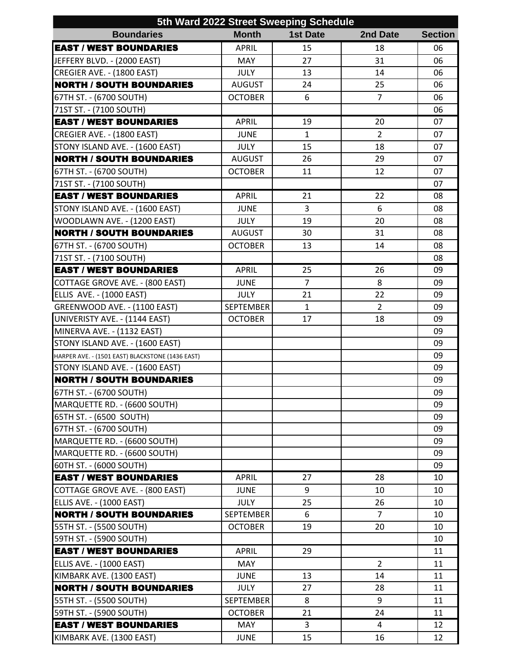| 5th Ward 2022 Street Sweeping Schedule           |                  |                 |                |                |  |  |  |
|--------------------------------------------------|------------------|-----------------|----------------|----------------|--|--|--|
| <b>Boundaries</b>                                | <b>Month</b>     | <b>1st Date</b> | 2nd Date       | <b>Section</b> |  |  |  |
| <b>EAST / WEST BOUNDARIES</b>                    | <b>APRIL</b>     | 15              | 18             | 06             |  |  |  |
| JEFFERY BLVD. - (2000 EAST)                      | <b>MAY</b>       | 27              | 31             | 06             |  |  |  |
| CREGIER AVE. - (1800 EAST)                       | <b>JULY</b>      | 13              | 14             | 06             |  |  |  |
| <b>NORTH / SOUTH BOUNDARIES</b>                  | <b>AUGUST</b>    | 24              | 25             | 06             |  |  |  |
| 67TH ST. - (6700 SOUTH)                          | <b>OCTOBER</b>   | 6               | $\overline{7}$ | 06             |  |  |  |
| 71ST ST. - (7100 SOUTH)                          |                  |                 |                | 06             |  |  |  |
| <b>EAST / WEST BOUNDARIES</b>                    | <b>APRIL</b>     | 19              | 20             | 07             |  |  |  |
| CREGIER AVE. - (1800 EAST)                       | <b>JUNE</b>      | $\mathbf{1}$    | $\overline{2}$ | 07             |  |  |  |
| STONY ISLAND AVE. - (1600 EAST)                  | <b>JULY</b>      | 15              | 18             | 07             |  |  |  |
| <b>NORTH / SOUTH BOUNDARIES</b>                  | <b>AUGUST</b>    | 26              | 29             | 07             |  |  |  |
| 67TH ST. - (6700 SOUTH)                          | <b>OCTOBER</b>   | 11              | 12             | 07             |  |  |  |
| 71ST ST. - (7100 SOUTH)                          |                  |                 |                | 07             |  |  |  |
| <b>EAST / WEST BOUNDARIES</b>                    | <b>APRIL</b>     | 21              | 22             | 08             |  |  |  |
| STONY ISLAND AVE. - (1600 EAST)                  | <b>JUNE</b>      | 3               | 6              | 08             |  |  |  |
| WOODLAWN AVE. - (1200 EAST)                      | <b>JULY</b>      | 19              | 20             | 08             |  |  |  |
| <b>NORTH / SOUTH BOUNDARIES</b>                  | <b>AUGUST</b>    | 30              | 31             | 08             |  |  |  |
| 67TH ST. - (6700 SOUTH)                          | <b>OCTOBER</b>   | 13              | 14             | 08             |  |  |  |
| 71ST ST. - (7100 SOUTH)                          |                  |                 |                | 08             |  |  |  |
| <b>EAST / WEST BOUNDARIES</b>                    | <b>APRIL</b>     | 25              | 26             | 09             |  |  |  |
| COTTAGE GROVE AVE. - (800 EAST)                  | <b>JUNE</b>      | $\overline{7}$  | 8              | 09             |  |  |  |
| <b>ELLIS AVE. - (1000 EAST)</b>                  | <b>JULY</b>      | 21              | 22             | 09             |  |  |  |
| GREENWOOD AVE. - (1100 EAST)                     | <b>SEPTEMBER</b> | $\mathbf{1}$    | $\overline{2}$ | 09             |  |  |  |
| UNIVERISTY AVE. - (1144 EAST)                    | <b>OCTOBER</b>   | 17              | 18             | 09             |  |  |  |
| MINERVA AVE. - (1132 EAST)                       |                  |                 |                | 09             |  |  |  |
| STONY ISLAND AVE. - (1600 EAST)                  |                  |                 |                | 09             |  |  |  |
| HARPER AVE. - (1501 EAST) BLACKSTONE (1436 EAST) |                  |                 |                | 09             |  |  |  |
| STONY ISLAND AVE. - (1600 EAST)                  |                  |                 |                | 09             |  |  |  |
| <b>NORTH / SOUTH BOUNDARIES</b>                  |                  |                 |                | 09             |  |  |  |
| 67TH ST. - (6700 SOUTH)                          |                  |                 |                | 09             |  |  |  |
| MARQUETTE RD. - (6600 SOUTH)                     |                  |                 |                | 09             |  |  |  |
| 65TH ST. - (6500 SOUTH)                          |                  |                 |                | 09             |  |  |  |
| 67TH ST. - (6700 SOUTH)                          |                  |                 |                | 09             |  |  |  |
| MARQUETTE RD. - (6600 SOUTH)                     |                  |                 |                | 09             |  |  |  |
| MARQUETTE RD. - (6600 SOUTH)                     |                  |                 |                | 09             |  |  |  |
| 60TH ST. - (6000 SOUTH)                          |                  |                 |                | 09             |  |  |  |
| <b>EAST / WEST BOUNDARIES</b>                    | <b>APRIL</b>     | 27              | 28             | 10             |  |  |  |
| COTTAGE GROVE AVE. - (800 EAST)                  | <b>JUNE</b>      | 9               | 10             | 10             |  |  |  |
| <b>ELLIS AVE. - (1000 EAST)</b>                  | <b>JULY</b>      | 25              | 26             | 10             |  |  |  |
| <b>NORTH / SOUTH BOUNDARIES</b>                  | <b>SEPTEMBER</b> | 6               | $\overline{7}$ | 10             |  |  |  |
| 55TH ST. - (5500 SOUTH)                          | <b>OCTOBER</b>   | 19              | 20             | 10             |  |  |  |
| 59TH ST. - (5900 SOUTH)                          |                  |                 |                | 10             |  |  |  |
| <b>EAST / WEST BOUNDARIES</b>                    | <b>APRIL</b>     | 29              |                | 11             |  |  |  |
| ELLIS AVE. - (1000 EAST)                         | MAY              |                 | $\overline{2}$ | 11             |  |  |  |
| KIMBARK AVE. (1300 EAST)                         | <b>JUNE</b>      | 13              | 14             | 11             |  |  |  |
| <b>NORTH / SOUTH BOUNDARIES</b>                  | <b>JULY</b>      | 27              | 28             | 11             |  |  |  |
| 55TH ST. - (5500 SOUTH)                          | <b>SEPTEMBER</b> | 8               | 9              | 11             |  |  |  |
| 59TH ST. - (5900 SOUTH)                          | <b>OCTOBER</b>   | 21              | 24             | 11             |  |  |  |
| <b>EAST / WEST BOUNDARIES</b>                    | MAY              | $\overline{3}$  | 4              | 12             |  |  |  |
| KIMBARK AVE. (1300 EAST)                         | <b>JUNE</b>      | 15              | 16             | 12             |  |  |  |